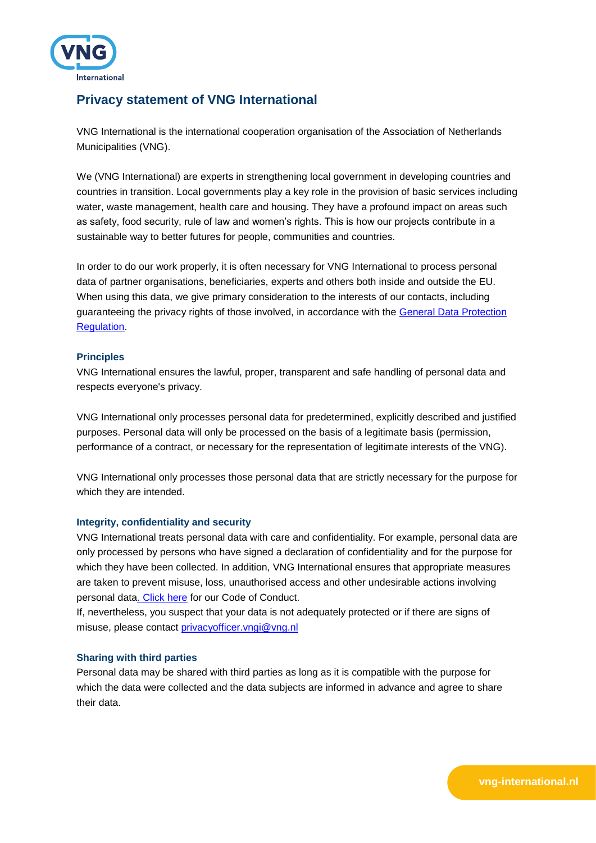

# **Privacy statement of VNG International**

VNG International is the international cooperation organisation of the Association of Netherlands Municipalities (VNG).

We (VNG International) are experts in strengthening local government in developing countries and countries in transition. Local governments play a key role in the provision of basic services including water, waste management, health care and housing. They have a profound impact on areas such as safety, food security, rule of law and women's rights. This is how our projects contribute in a sustainable way to better futures for people, communities and countries.

In order to do our work properly, it is often necessary for VNG International to process personal data of partner organisations, beneficiaries, experts and others both inside and outside the EU. When using this data, we give primary consideration to the interests of our contacts, including guaranteeing the privacy rights of those involved, in accordance with the [General Data Protection](https://autoriteitpersoonsgegevens.nl/sites/default/files/atoms/files/gdpr.pdf)  [Regulation.](https://autoriteitpersoonsgegevens.nl/sites/default/files/atoms/files/gdpr.pdf)

# **Principles**

VNG International ensures the lawful, proper, transparent and safe handling of personal data and respects everyone's privacy.

VNG International only processes personal data for predetermined, explicitly described and justified purposes. Personal data will only be processed on the basis of a legitimate basis (permission, performance of a contract, or necessary for the representation of legitimate interests of the VNG).

VNG International only processes those personal data that are strictly necessary for the purpose for which they are intended.

# **Integrity, confidentiality and security**

VNG International treats personal data with care and confidentiality. For example, personal data are only processed by persons who have signed a declaration of confidentiality and for the purpose for which they have been collected. In addition, VNG International ensures that appropriate measures are taken to prevent misuse, loss, unauthorised access and other undesirable actions involving personal dat[a. Click here](https://www.vng-international.nl/sites/default/files/2018.09%20%20The%20values%20and%20policies%20of%20VNG%20International.pdf) for our Code of Conduct.

If, nevertheless, you suspect that your data is not adequately protected or if there are signs of misuse, please contact [privacyofficer.vngi@vng.nl](mailto:privacyofficer.vngi@vng.nl)

# **Sharing with third parties**

Personal data may be shared with third parties as long as it is compatible with the purpose for which the data were collected and the data subjects are informed in advance and agree to share their data.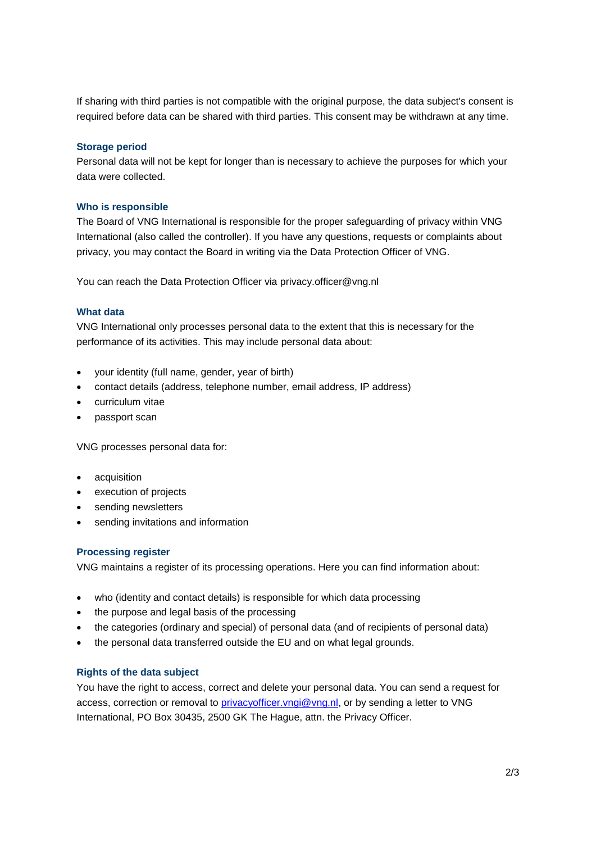If sharing with third parties is not compatible with the original purpose, the data subject's consent is required before data can be shared with third parties. This consent may be withdrawn at any time.

## **Storage period**

Personal data will not be kept for longer than is necessary to achieve the purposes for which your data were collected.

#### **Who is responsible**

The Board of VNG International is responsible for the proper safeguarding of privacy within VNG International (also called the controller). If you have any questions, requests or complaints about privacy, you may contact the Board in writing via the Data Protection Officer of VNG.

You can reach the Data Protection Officer via [privacy.officer@vng.nl](mailto:privacy.officer@vng.nl)

#### **What data**

VNG International only processes personal data to the extent that this is necessary for the performance of its activities. This may include personal data about:

- your identity (full name, gender, year of birth)
- contact details (address, telephone number, email address, IP address)
- curriculum vitae
- passport scan

VNG processes personal data for:

- acquisition
- execution of projects
- sending newsletters
- sending invitations and information

### **Processing register**

VNG maintains a register of its processing operations. Here you can find information about:

- who (identity and contact details) is responsible for which data processing
- the purpose and legal basis of the processing
- the categories (ordinary and special) of personal data (and of recipients of personal data)
- the personal data transferred outside the EU and on what legal grounds.

#### **Rights of the data subject**

You have the right to access, correct and delete your personal data. You can send a request for access, correction or removal to [privacyofficer.vngi@vng.nl,](mailto:privacyofficer.vngi@vng.nl) or by sending a letter to VNG International, PO Box 30435, 2500 GK The Hague, attn. the Privacy Officer.